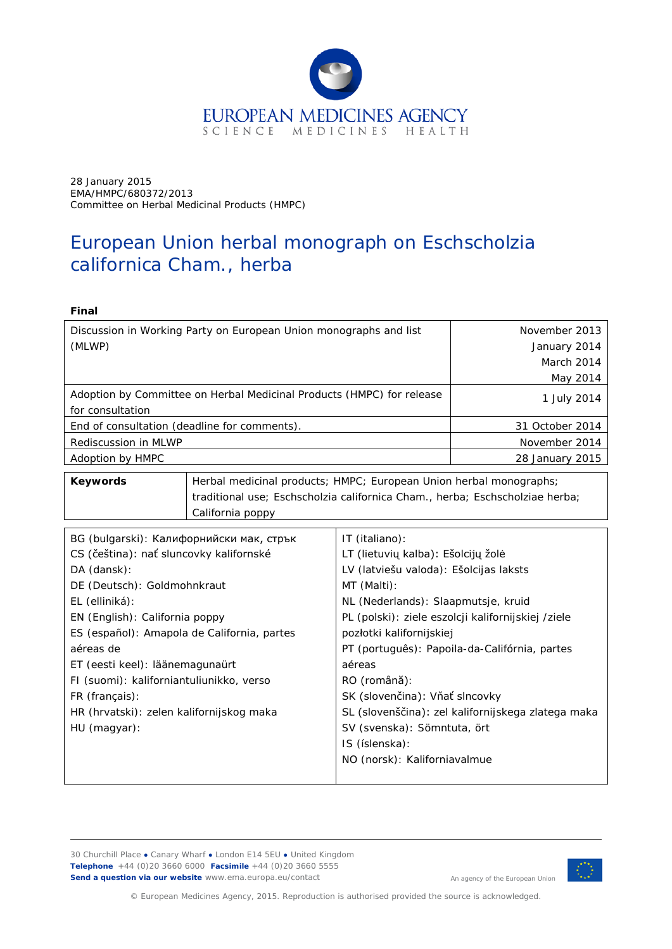

28 January 2015 EMA/HMPC/680372/2013 Committee on Herbal Medicinal Products (HMPC)

# European Union herbal monograph on *Eschscholzia californica* Cham., herba

#### **Final**

| Discussion in Working Party on European Union monographs and list     | November 2013   |
|-----------------------------------------------------------------------|-----------------|
| (MLWP)                                                                | January 2014    |
|                                                                       | March 2014      |
|                                                                       | May 2014        |
| Adoption by Committee on Herbal Medicinal Products (HMPC) for release | 1 July 2014     |
| for consultation                                                      |                 |
| End of consultation (deadline for comments).                          | 31 October 2014 |
| Rediscussion in MLWP                                                  | November 2014   |
| Adoption by HMPC                                                      | 28 January 2015 |

**Keywords** | Herbal medicinal products; HMPC; European Union herbal monographs; traditional use; *Eschscholzia californica* Cham., herba; Eschscholziae herba; California poppy

| BG (bulgarski): Калифорнийски мак, стрък    | IT (italiano):                                     |
|---------------------------------------------|----------------------------------------------------|
| CS (čeština): nať sluncovky kalifornské     | LT (lietuvių kalba): Ešolcijų žolė                 |
| DA (dansk):                                 | LV (latviešu valoda): Ešolcijas laksts             |
| DE (Deutsch): Goldmohnkraut                 | MT (Malti):                                        |
| EL (elliniká):                              | NL (Nederlands): Slaapmutsje, kruid                |
| EN (English): California poppy              | PL (polski): ziele eszolcji kalifornijskiej /ziele |
| ES (español): Amapola de California, partes | pozłotki kalifornijskiej                           |
| aéreas de                                   | PT (português): Papoila-da-Califórnia, partes      |
| ET (eesti keel): läänemagunaürt             | aéreas                                             |
| FI (suomi): kaliforniantuliunikko, verso    | RO (română):                                       |
| FR (français):                              | SK (slovenčina): Vňať slncovky                     |
| HR (hrvatski): zelen kalifornijskog maka    | SL (slovenščina): zel kalifornijskega zlatega maka |
| $HU$ (magyar):                              | SV (svenska): Sömntuta, ört                        |
|                                             | IS (íslenska):                                     |
|                                             | NO (norsk): Kaliforniavalmue                       |
|                                             |                                                    |

30 Churchill Place **●** Canary Wharf **●** London E14 5EU **●** United Kingdom **Telephone** +44 (0)20 3660 6000 **Facsimile** +44 (0)20 3660 5555 **Send a question via our website** www.ema.europa.eu/contact



An agency of the European Union

© European Medicines Agency, 2015. Reproduction is authorised provided the source is acknowledged.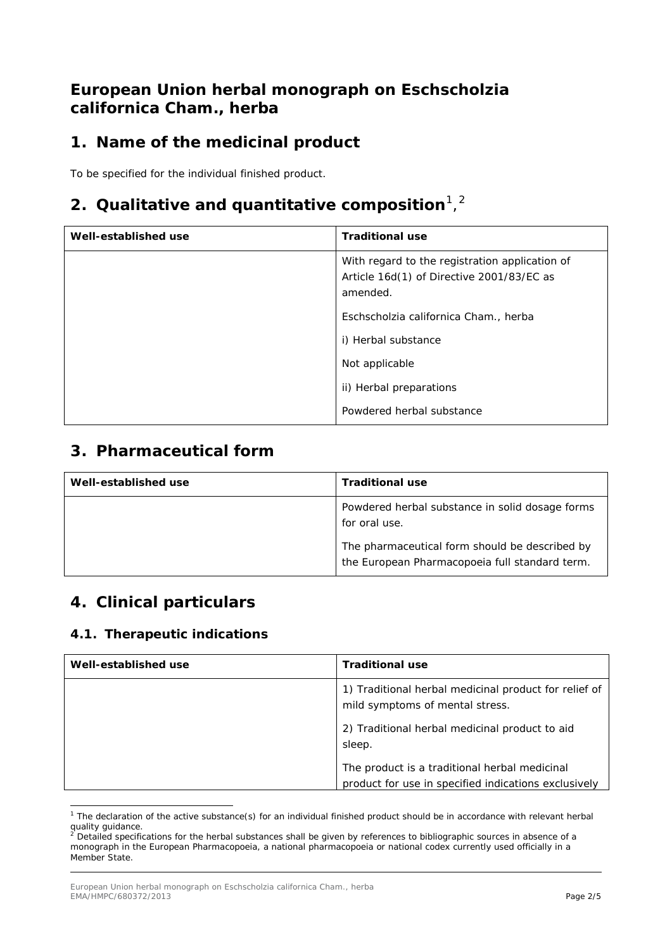## **European Union herbal monograph on** *Eschscholzia californica* **Cham***.,* **herba**

## **1. Name of the medicinal product**

To be specified for the individual finished product.

## **[2](#page-1-1). Qualitative and quantitative composition**<sup>[1](#page-1-0)</sup>,<sup>2</sup>

| Well-established use | <b>Traditional use</b>                                                                                  |
|----------------------|---------------------------------------------------------------------------------------------------------|
|                      | With regard to the registration application of<br>Article 16d(1) of Directive 2001/83/EC as<br>amended. |
|                      | Eschscholzia californica Cham., herba                                                                   |
|                      | i) Herbal substance                                                                                     |
|                      | Not applicable                                                                                          |
|                      | ii) Herbal preparations                                                                                 |
|                      | Powdered herbal substance                                                                               |

### **3. Pharmaceutical form**

| Well-established use | <b>Traditional use</b>                                                                           |
|----------------------|--------------------------------------------------------------------------------------------------|
|                      | Powdered herbal substance in solid dosage forms<br>for oral use.                                 |
|                      | The pharmaceutical form should be described by<br>the European Pharmacopoeia full standard term. |

## **4. Clinical particulars**

### *4.1. Therapeutic indications*

| Well-established use | <b>Traditional use</b>                                                                                |
|----------------------|-------------------------------------------------------------------------------------------------------|
|                      | 1) Traditional herbal medicinal product for relief of<br>mild symptoms of mental stress.              |
|                      | 2) Traditional herbal medicinal product to aid<br>sleep.                                              |
|                      | The product is a traditional herbal medicinal<br>product for use in specified indications exclusively |

<span id="page-1-0"></span> $1$  The declaration of the active substance(s) for an individual finished product should be in accordance with relevant herbal  $\frac{q}{q}$  quality guidance. ł

<span id="page-1-1"></span><sup>.&</sup>lt;br>Detailed specifications for the herbal substances shall be given by references to bibliographic sources in absence of a monograph in the European Pharmacopoeia, a national pharmacopoeia or national codex currently used officially in a Member State.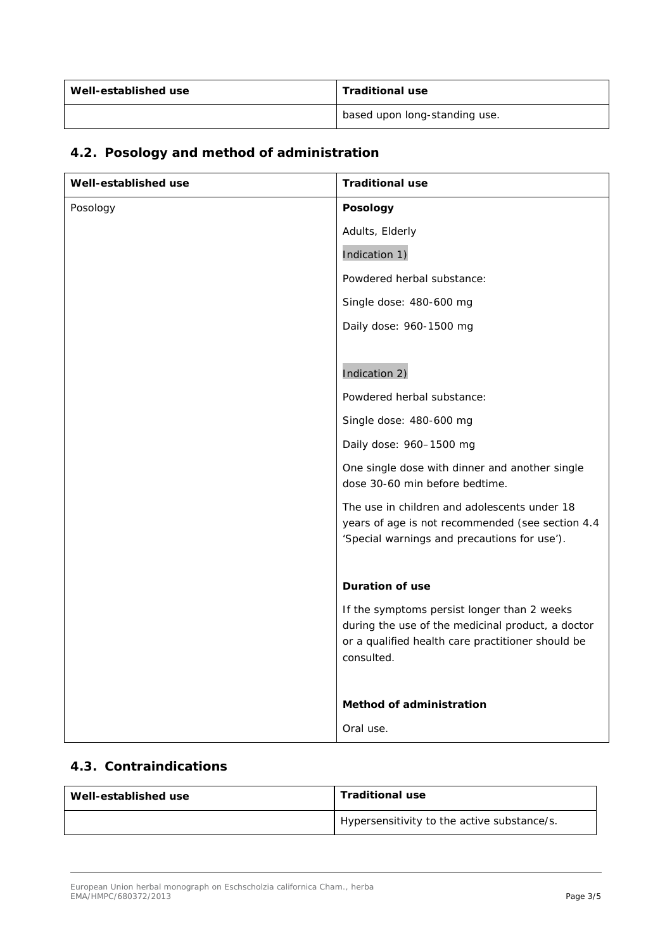| Well-established use | <b>Traditional use</b>        |
|----------------------|-------------------------------|
|                      | based upon long-standing use. |

| Well-established use | <b>Traditional use</b>                                                                                                                                              |
|----------------------|---------------------------------------------------------------------------------------------------------------------------------------------------------------------|
| Posology             | Posology                                                                                                                                                            |
|                      | Adults, Elderly                                                                                                                                                     |
|                      | Indication 1)                                                                                                                                                       |
|                      | Powdered herbal substance:                                                                                                                                          |
|                      | Single dose: 480-600 mg                                                                                                                                             |
|                      | Daily dose: 960-1500 mg                                                                                                                                             |
|                      |                                                                                                                                                                     |
|                      | Indication 2)                                                                                                                                                       |
|                      | Powdered herbal substance:                                                                                                                                          |
|                      | Single dose: 480-600 mg                                                                                                                                             |
|                      | Daily dose: 960-1500 mg                                                                                                                                             |
|                      | One single dose with dinner and another single<br>dose 30-60 min before bedtime.                                                                                    |
|                      | The use in children and adolescents under 18<br>years of age is not recommended (see section 4.4<br>'Special warnings and precautions for use').                    |
|                      | <b>Duration of use</b>                                                                                                                                              |
|                      | If the symptoms persist longer than 2 weeks<br>during the use of the medicinal product, a doctor<br>or a qualified health care practitioner should be<br>consulted. |
|                      | Method of administration                                                                                                                                            |
|                      | Oral use.                                                                                                                                                           |

## *4.2. Posology and method of administration*

### *4.3. Contraindications*

| Well-established use | <b>Traditional use</b>                      |
|----------------------|---------------------------------------------|
|                      | Hypersensitivity to the active substance/s. |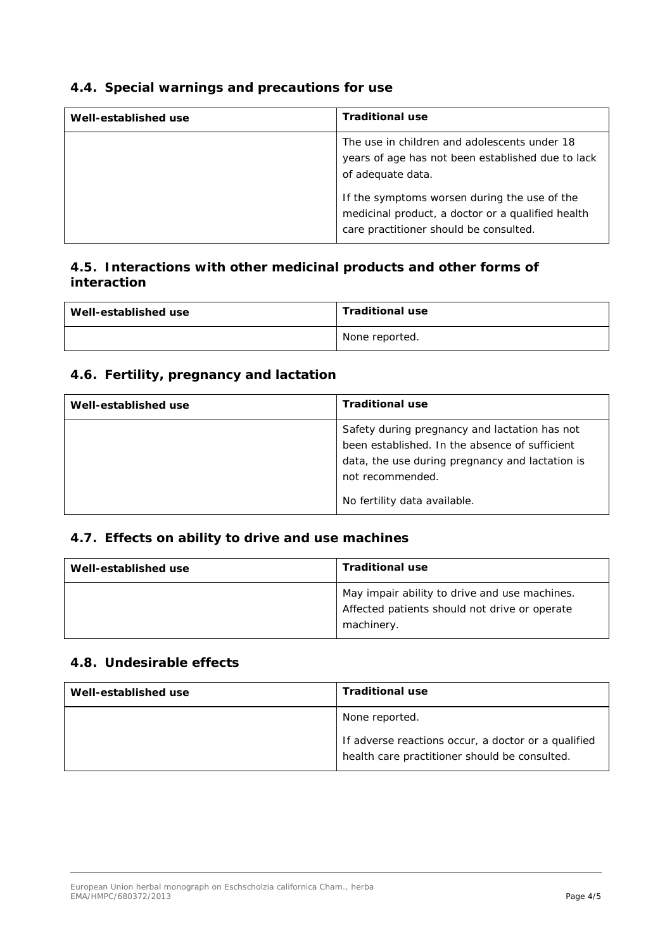### *4.4. Special warnings and precautions for use*

| Well-established use | <b>Traditional use</b>                                                                                                                      |
|----------------------|---------------------------------------------------------------------------------------------------------------------------------------------|
|                      | The use in children and adolescents under 18<br>years of age has not been established due to lack<br>of adequate data.                      |
|                      | If the symptoms worsen during the use of the<br>medicinal product, a doctor or a qualified health<br>care practitioner should be consulted. |

### *4.5. Interactions with other medicinal products and other forms of interaction*

| Well-established use | <b>Traditional use</b> |
|----------------------|------------------------|
|                      | None reported.         |

#### *4.6. Fertility, pregnancy and lactation*

| Well-established use | <b>Traditional use</b>                                                                                                                                                                                 |
|----------------------|--------------------------------------------------------------------------------------------------------------------------------------------------------------------------------------------------------|
|                      | Safety during pregnancy and lactation has not<br>been established. In the absence of sufficient<br>data, the use during pregnancy and lactation is<br>not recommended.<br>No fertility data available. |

### *4.7. Effects on ability to drive and use machines*

| Well-established use | <b>Traditional use</b>                                                                                       |
|----------------------|--------------------------------------------------------------------------------------------------------------|
|                      | May impair ability to drive and use machines.<br>Affected patients should not drive or operate<br>machinery. |

#### *4.8. Undesirable effects*

| Well-established use | <b>Traditional use</b>                                                                               |
|----------------------|------------------------------------------------------------------------------------------------------|
|                      | None reported.                                                                                       |
|                      | If adverse reactions occur, a doctor or a qualified<br>health care practitioner should be consulted. |